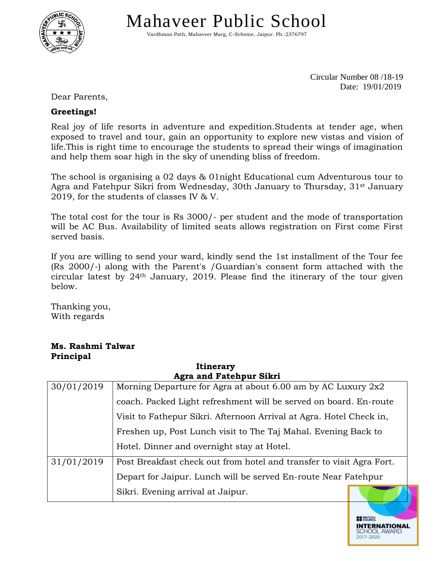

Mahaveer Public School

Vardhman Path, Mahaveer Marg, C-Scheme, Jaipur. Ph.:2376797

Circular Number 08 /18-19 Date: 19/01/2019

**22 BRITISH** 

**INTERNATIONAL** SCHOOL AW

Dear Parents,

## **Greetings!**

Real joy of life resorts in adventure and expedition.Students at tender age, when exposed to travel and tour, gain an opportunity to explore new vistas and vision of life.This is right time to encourage the students to spread their wings of imagination and help them soar high in the sky of unending bliss of freedom.

The school is organising a 02 days & 01night Educational cum Adventurous tour to Agra and Fatehpur Sikri from Wednesday, 30th January to Thursday, 31<sup>st</sup> January 2019, for the students of classes IV & V.

The total cost for the tour is Rs 3000/- per student and the mode of transportation will be AC Bus. Availability of limited seats allows registration on First come First served basis.

If you are willing to send your ward, kindly send the 1st installment of the Tour fee (Rs 2000/-) along with the Parent's /Guardian's consent form attached with the circular latest by 24th January, 2019. Please find the itinerary of the tour given below.

Thanking you, With regards

## **Ms. Rashmi Talwar Principal**

| <b>Agra and Fatehpur Sikri</b> |                                                                      |  |  |  |  |  |  |
|--------------------------------|----------------------------------------------------------------------|--|--|--|--|--|--|
| 30/01/2019                     | Morning Departure for Agra at about 6.00 am by AC Luxury 2x2         |  |  |  |  |  |  |
|                                | coach. Packed Light refreshment will be served on board. En-route    |  |  |  |  |  |  |
|                                | Visit to Fathepur Sikri. Afternoon Arrival at Agra. Hotel Check in,  |  |  |  |  |  |  |
|                                | Freshen up, Post Lunch visit to The Taj Mahal. Evening Back to       |  |  |  |  |  |  |
|                                | Hotel. Dinner and overnight stay at Hotel.                           |  |  |  |  |  |  |
| 31/01/2019                     | Post Breakfast check out from hotel and transfer to visit Agra Fort. |  |  |  |  |  |  |
|                                | Depart for Jaipur. Lunch will be served En-route Near Fatehpur       |  |  |  |  |  |  |
|                                | Sikri. Evening arrival at Jaipur.                                    |  |  |  |  |  |  |

**Itinerary**